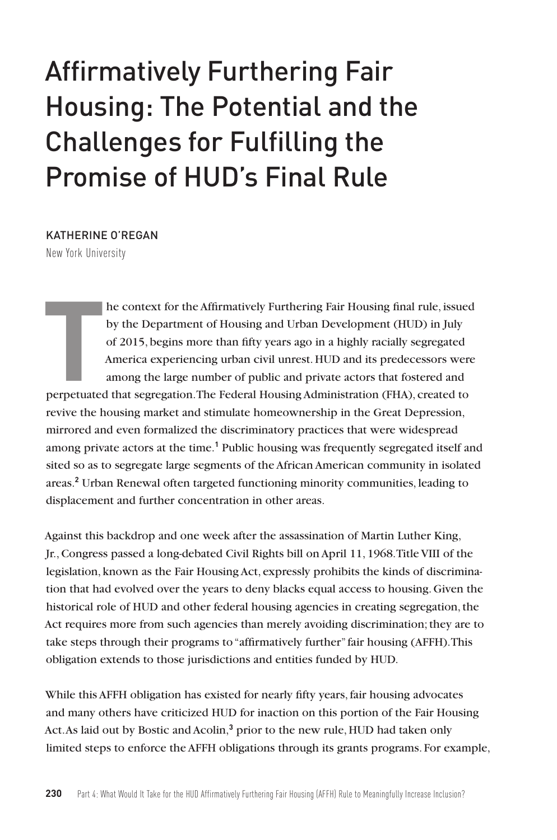# Affirmatively Furthering Fair Housing: The Potential and the Challenges for Fulfilling the Promise of HUD's Final Rule

KATHERINE O'REGAN

New York University

**T**<br>perpetuated he context for the Affirmatively Furthering Fair Housing final rule, issued by the Department of Housing and Urban Development (HUD) in July of 2015, begins more than fifty years ago in a highly racially segregated America experiencing urban civil unrest. HUD and its predecessors were among the large number of public and private actors that fostered and perpetuated that segregation. The Federal Housing Administration (FHA), created to revive the housing market and stimulate homeownership in the Great Depression, mirrored and even formalized the discriminatory practices that were widespread among private actors at the time.**<sup>1</sup>** Public housing was frequently segregated itself and sited so as to segregate large segments of the African American community in isolated areas.**<sup>2</sup>** Urban Renewal often targeted functioning minority communities, leading to displacement and further concentration in other areas.

Against this backdrop and one week after the assassination of Martin Luther King, Jr., Congress passed a long-debated Civil Rights bill on April 11, 1968. Title VIII of the legislation, known as the Fair Housing Act, expressly prohibits the kinds of discrimination that had evolved over the years to deny blacks equal access to housing. Given the historical role of HUD and other federal housing agencies in creating segregation, the Act requires more from such agencies than merely avoiding discrimination; they are to take steps through their programs to "affirmatively further" fair housing (AFFH). This obligation extends to those jurisdictions and entities funded by HUD.

While this AFFH obligation has existed for nearly fifty years, fair housing advocates and many others have criticized HUD for inaction on this portion of the Fair Housing Act. As laid out by Bostic and Acolin,**<sup>3</sup>** prior to the new rule, HUD had taken only limited steps to enforce the AFFH obligations through its grants programs. For example,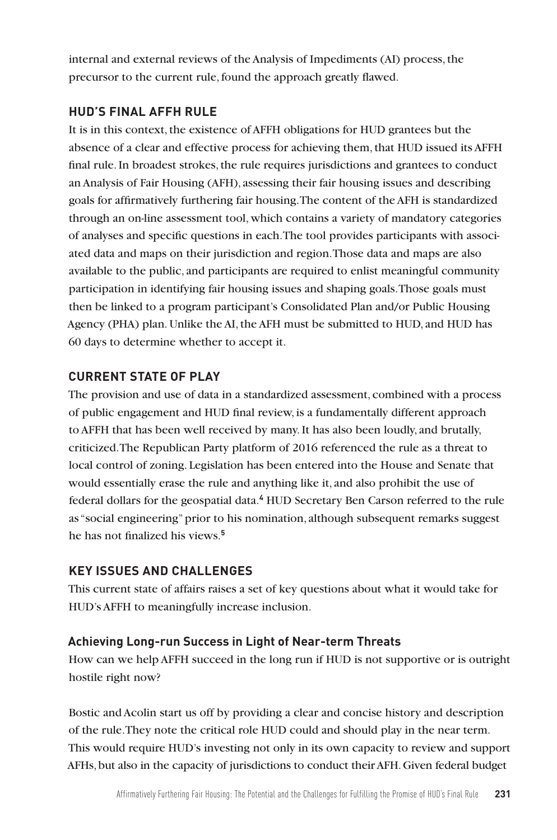internal and external reviews of the Analysis of Impediments (AI) process, the precursor to the current rule, found the approach greatly flawed.

# **HUD'S FINAL AFFH RULE**

It is in this context, the existence of AFFH obligations for HUD grantees but the absence of a clear and effective process for achieving them, that HUD issued its AFFH final rule. In broadest strokes, the rule requires jurisdictions and grantees to conduct an Analysis of Fair Housing (AFH), assessing their fair housing issues and describing goals for affirmatively furthering fair housing. The content of the AFH is standardized through an on-line assessment tool, which contains a variety of mandatory categories of analyses and specific questions in each. The tool provides participants with associated data and maps on their jurisdiction and region. Those data and maps are also available to the public, and participants are required to enlist meaningful community participation in identifying fair housing issues and shaping goals. Those goals must then be linked to a program participant's Consolidated Plan and/or Public Housing Agency (PHA) plan. Unlike the AI, the AFH must be submitted to HUD, and HUD has 60 days to determine whether to accept it.

## **CURRENT STATE OF PLAY**

The provision and use of data in a standardized assessment, combined with a process of public engagement and HUD final review, is a fundamentally different approach to AFFH that has been well received by many. It has also been loudly, and brutally, criticized. The Republican Party platform of 2016 referenced the rule as a threat to local control of zoning. Legislation has been entered into the House and Senate that would essentially erase the rule and anything like it, and also prohibit the use of federal dollars for the geospatial data.**<sup>4</sup>** HUD Secretary Ben Carson referred to the rule as "social engineering" prior to his nomination, although subsequent remarks suggest he has not finalized his views.**<sup>5</sup>**

## **KEY ISSUES AND CHALLENGES**

This current state of affairs raises a set of key questions about what it would take for HUD's AFFH to meaningfully increase inclusion.

## **Achieving Long-run Success in Light of Near-term Threats**

How can we help AFFH succeed in the long run if HUD is not supportive or is outright hostile right now?

Bostic and Acolin start us off by providing a clear and concise history and description of the rule. They note the critical role HUD could and should play in the near term. This would require HUD's investing not only in its own capacity to review and support AFHs, but also in the capacity of jurisdictions to conduct their AFH. Given federal budget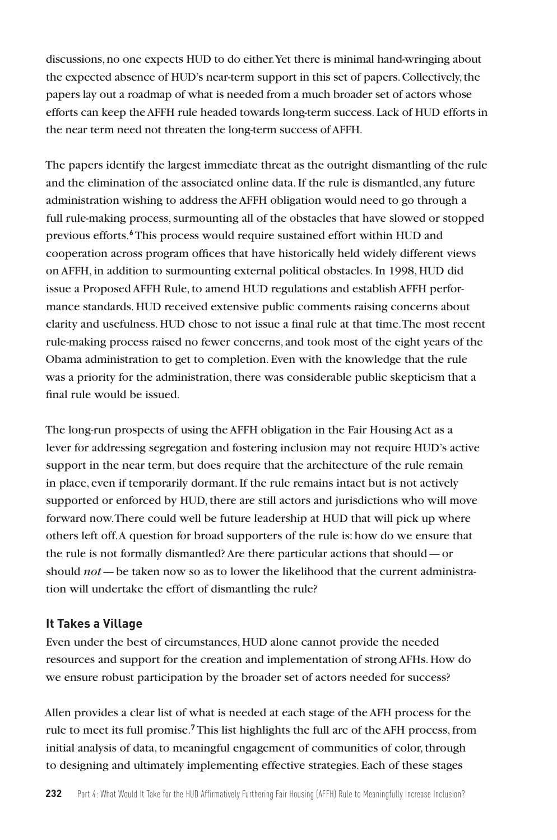discussions, no one expects HUD to do either. Yet there is minimal hand-wringing about the expected absence of HUD's near-term support in this set of papers. Collectively, the papers lay out a roadmap of what is needed from a much broader set of actors whose efforts can keep the AFFH rule headed towards long-term success. Lack of HUD efforts in the near term need not threaten the long-term success of AFFH.

The papers identify the largest immediate threat as the outright dismantling of the rule and the elimination of the associated online data. If the rule is dismantled, any future administration wishing to address the AFFH obligation would need to go through a full rule-making process, surmounting all of the obstacles that have slowed or stopped previous efforts.**<sup>6</sup>** This process would require sustained effort within HUD and cooperation across program offices that have historically held widely different views on AFFH, in addition to surmounting external political obstacles. In 1998, HUD did issue a Proposed AFFH Rule, to amend HUD regulations and establish AFFH performance standards. HUD received extensive public comments raising concerns about clarity and usefulness. HUD chose to not issue a final rule at that time. The most recent rule-making process raised no fewer concerns, and took most of the eight years of the Obama administration to get to completion. Even with the knowledge that the rule was a priority for the administration, there was considerable public skepticism that a final rule would be issued.

The long-run prospects of using the AFFH obligation in the Fair Housing Act as a lever for addressing segregation and fostering inclusion may not require HUD's active support in the near term, but does require that the architecture of the rule remain in place, even if temporarily dormant. If the rule remains intact but is not actively supported or enforced by HUD, there are still actors and jurisdictions who will move forward now. There could well be future leadership at HUD that will pick up where others left off. A question for broad supporters of the rule is: how do we ensure that the rule is not formally dismantled? Are there particular actions that should—or should *not*—be taken now so as to lower the likelihood that the current administration will undertake the effort of dismantling the rule?

#### **It Takes a Village**

Even under the best of circumstances, HUD alone cannot provide the needed resources and support for the creation and implementation of strong AFHs. How do we ensure robust participation by the broader set of actors needed for success?

Allen provides a clear list of what is needed at each stage of the AFH process for the rule to meet its full promise.**<sup>7</sup>** This list highlights the full arc of the AFH process, from initial analysis of data, to meaningful engagement of communities of color, through to designing and ultimately implementing effective strategies. Each of these stages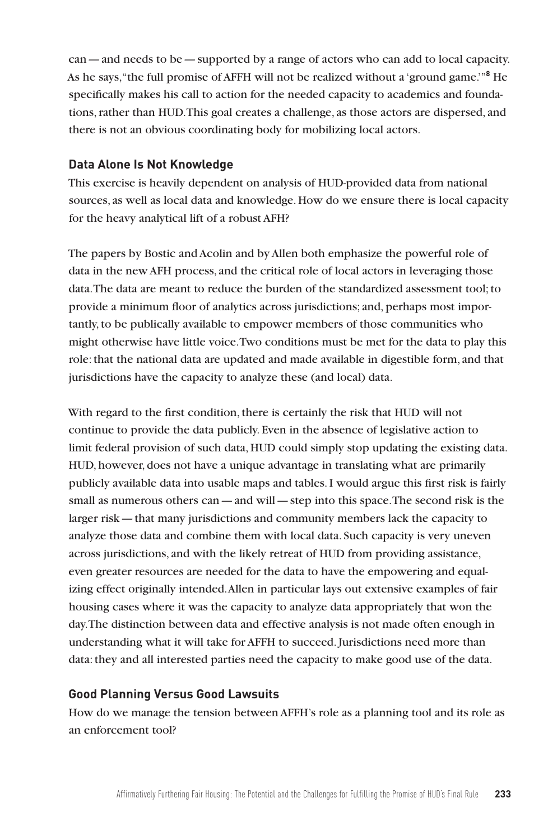can—and needs to be—supported by a range of actors who can add to local capacity. As he says, "the full promise of AFFH will not be realized without a 'ground game.'"**<sup>8</sup>** He specifically makes his call to action for the needed capacity to academics and foundations, rather than HUD. This goal creates a challenge, as those actors are dispersed, and there is not an obvious coordinating body for mobilizing local actors.

#### **Data Alone Is Not Knowledge**

This exercise is heavily dependent on analysis of HUD-provided data from national sources, as well as local data and knowledge. How do we ensure there is local capacity for the heavy analytical lift of a robust AFH?

The papers by Bostic and Acolin and by Allen both emphasize the powerful role of data in the new AFH process, and the critical role of local actors in leveraging those data. The data are meant to reduce the burden of the standardized assessment tool; to provide a minimum floor of analytics across jurisdictions; and, perhaps most importantly, to be publically available to empower members of those communities who might otherwise have little voice. Two conditions must be met for the data to play this role: that the national data are updated and made available in digestible form, and that jurisdictions have the capacity to analyze these (and local) data.

With regard to the first condition, there is certainly the risk that HUD will not continue to provide the data publicly. Even in the absence of legislative action to limit federal provision of such data, HUD could simply stop updating the existing data. HUD, however, does not have a unique advantage in translating what are primarily publicly available data into usable maps and tables. I would argue this first risk is fairly small as numerous others can—and will—step into this space. The second risk is the larger risk—that many jurisdictions and community members lack the capacity to analyze those data and combine them with local data. Such capacity is very uneven across jurisdictions, and with the likely retreat of HUD from providing assistance, even greater resources are needed for the data to have the empowering and equalizing effect originally intended. Allen in particular lays out extensive examples of fair housing cases where it was the capacity to analyze data appropriately that won the day. The distinction between data and effective analysis is not made often enough in understanding what it will take for AFFH to succeed. Jurisdictions need more than data: they and all interested parties need the capacity to make good use of the data.

## **Good Planning Versus Good Lawsuits**

How do we manage the tension between AFFH's role as a planning tool and its role as an enforcement tool?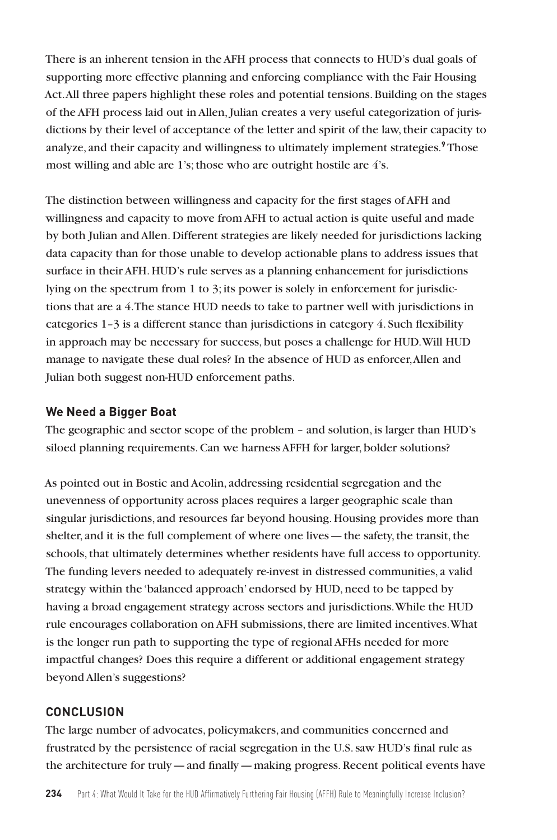There is an inherent tension in the AFH process that connects to HUD's dual goals of supporting more effective planning and enforcing compliance with the Fair Housing Act. All three papers highlight these roles and potential tensions. Building on the stages of the AFH process laid out in Allen, Julian creates a very useful categorization of jurisdictions by their level of acceptance of the letter and spirit of the law, their capacity to analyze, and their capacity and willingness to ultimately implement strategies.**<sup>9</sup>** Those most willing and able are 1's; those who are outright hostile are 4's.

The distinction between willingness and capacity for the first stages of AFH and willingness and capacity to move from AFH to actual action is quite useful and made by both Julian and Allen. Different strategies are likely needed for jurisdictions lacking data capacity than for those unable to develop actionable plans to address issues that surface in their AFH. HUD's rule serves as a planning enhancement for jurisdictions lying on the spectrum from 1 to 3; its power is solely in enforcement for jurisdictions that are a 4. The stance HUD needs to take to partner well with jurisdictions in categories 1–3 is a different stance than jurisdictions in category 4. Such flexibility in approach may be necessary for success, but poses a challenge for HUD. Will HUD manage to navigate these dual roles? In the absence of HUD as enforcer, Allen and Julian both suggest non-HUD enforcement paths.

#### **We Need a Bigger Boat**

The geographic and sector scope of the problem – and solution, is larger than HUD's siloed planning requirements. Can we harness AFFH for larger, bolder solutions?

As pointed out in Bostic and Acolin, addressing residential segregation and the unevenness of opportunity across places requires a larger geographic scale than singular jurisdictions, and resources far beyond housing. Housing provides more than shelter, and it is the full complement of where one lives—the safety, the transit, the schools, that ultimately determines whether residents have full access to opportunity. The funding levers needed to adequately re-invest in distressed communities, a valid strategy within the 'balanced approach' endorsed by HUD, need to be tapped by having a broad engagement strategy across sectors and jurisdictions. While the HUD rule encourages collaboration on AFH submissions, there are limited incentives. What is the longer run path to supporting the type of regional AFHs needed for more impactful changes? Does this require a different or additional engagement strategy beyond Allen's suggestions?

## **CONCLUSION**

The large number of advocates, policymakers, and communities concerned and frustrated by the persistence of racial segregation in the U.S. saw HUD's final rule as the architecture for truly—and finally—making progress. Recent political events have